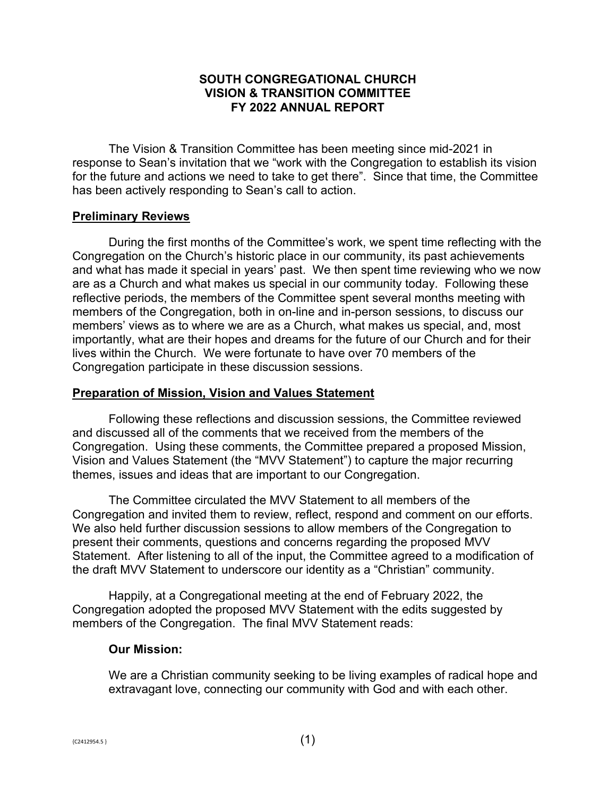# **SOUTH CONGREGATIONAL CHURCH VISION & TRANSITION COMMITTEE FY 2022 ANNUAL REPORT**

The Vision & Transition Committee has been meeting since mid-2021 in response to Sean's invitation that we "work with the Congregation to establish its vision for the future and actions we need to take to get there". Since that time, the Committee has been actively responding to Sean's call to action.

#### **Preliminary Reviews**

During the first months of the Committee's work, we spent time reflecting with the Congregation on the Church's historic place in our community, its past achievements and what has made it special in years' past. We then spent time reviewing who we now are as a Church and what makes us special in our community today. Following these reflective periods, the members of the Committee spent several months meeting with members of the Congregation, both in on-line and in-person sessions, to discuss our members' views as to where we are as a Church, what makes us special, and, most importantly, what are their hopes and dreams for the future of our Church and for their lives within the Church. We were fortunate to have over 70 members of the Congregation participate in these discussion sessions.

#### **Preparation of Mission, Vision and Values Statement**

Following these reflections and discussion sessions, the Committee reviewed and discussed all of the comments that we received from the members of the Congregation. Using these comments, the Committee prepared a proposed Mission, Vision and Values Statement (the "MVV Statement") to capture the major recurring themes, issues and ideas that are important to our Congregation.

The Committee circulated the MVV Statement to all members of the Congregation and invited them to review, reflect, respond and comment on our efforts. We also held further discussion sessions to allow members of the Congregation to present their comments, questions and concerns regarding the proposed MVV Statement. After listening to all of the input, the Committee agreed to a modification of the draft MVV Statement to underscore our identity as a "Christian" community.

Happily, at a Congregational meeting at the end of February 2022, the Congregation adopted the proposed MVV Statement with the edits suggested by members of the Congregation. The final MVV Statement reads:

#### **Our Mission:**

We are a Christian community seeking to be living examples of radical hope and extravagant love, connecting our community with God and with each other.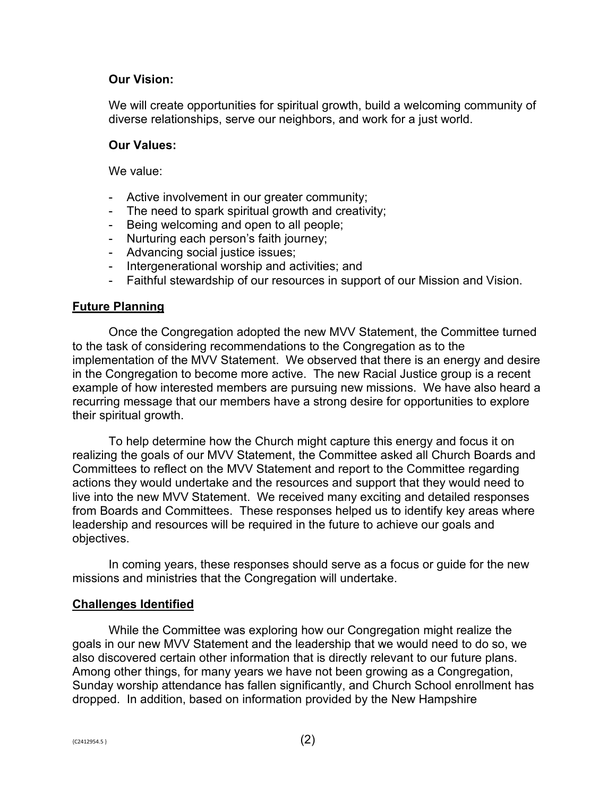# **Our Vision:**

We will create opportunities for spiritual growth, build a welcoming community of diverse relationships, serve our neighbors, and work for a just world.

#### **Our Values:**

We value:

- Active involvement in our greater community;
- The need to spark spiritual growth and creativity;
- Being welcoming and open to all people;
- Nurturing each person's faith journey;
- Advancing social justice issues;
- Intergenerational worship and activities; and
- Faithful stewardship of our resources in support of our Mission and Vision.

# **Future Planning**

Once the Congregation adopted the new MVV Statement, the Committee turned to the task of considering recommendations to the Congregation as to the implementation of the MVV Statement. We observed that there is an energy and desire in the Congregation to become more active. The new Racial Justice group is a recent example of how interested members are pursuing new missions. We have also heard a recurring message that our members have a strong desire for opportunities to explore their spiritual growth.

To help determine how the Church might capture this energy and focus it on realizing the goals of our MVV Statement, the Committee asked all Church Boards and Committees to reflect on the MVV Statement and report to the Committee regarding actions they would undertake and the resources and support that they would need to live into the new MVV Statement. We received many exciting and detailed responses from Boards and Committees. These responses helped us to identify key areas where leadership and resources will be required in the future to achieve our goals and objectives.

In coming years, these responses should serve as a focus or guide for the new missions and ministries that the Congregation will undertake.

# **Challenges Identified**

While the Committee was exploring how our Congregation might realize the goals in our new MVV Statement and the leadership that we would need to do so, we also discovered certain other information that is directly relevant to our future plans. Among other things, for many years we have not been growing as a Congregation, Sunday worship attendance has fallen significantly, and Church School enrollment has dropped. In addition, based on information provided by the New Hampshire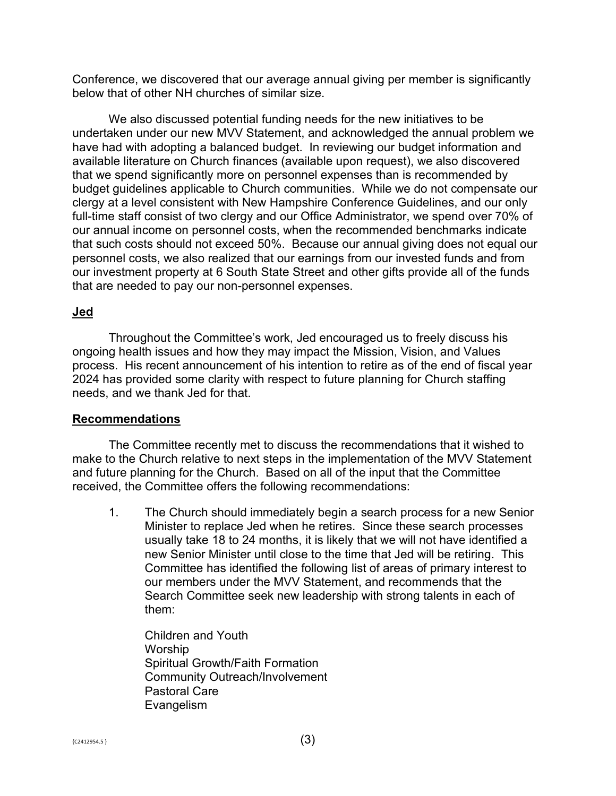Conference, we discovered that our average annual giving per member is significantly below that of other NH churches of similar size.

We also discussed potential funding needs for the new initiatives to be undertaken under our new MVV Statement, and acknowledged the annual problem we have had with adopting a balanced budget. In reviewing our budget information and available literature on Church finances (available upon request), we also discovered that we spend significantly more on personnel expenses than is recommended by budget guidelines applicable to Church communities. While we do not compensate our clergy at a level consistent with New Hampshire Conference Guidelines, and our only full-time staff consist of two clergy and our Office Administrator, we spend over 70% of our annual income on personnel costs, when the recommended benchmarks indicate that such costs should not exceed 50%. Because our annual giving does not equal our personnel costs, we also realized that our earnings from our invested funds and from our investment property at 6 South State Street and other gifts provide all of the funds that are needed to pay our non-personnel expenses.

# **Jed**

Throughout the Committee's work, Jed encouraged us to freely discuss his ongoing health issues and how they may impact the Mission, Vision, and Values process. His recent announcement of his intention to retire as of the end of fiscal year 2024 has provided some clarity with respect to future planning for Church staffing needs, and we thank Jed for that.

# **Recommendations**

The Committee recently met to discuss the recommendations that it wished to make to the Church relative to next steps in the implementation of the MVV Statement and future planning for the Church. Based on all of the input that the Committee received, the Committee offers the following recommendations:

1. The Church should immediately begin a search process for a new Senior Minister to replace Jed when he retires. Since these search processes usually take 18 to 24 months, it is likely that we will not have identified a new Senior Minister until close to the time that Jed will be retiring. This Committee has identified the following list of areas of primary interest to our members under the MVV Statement, and recommends that the Search Committee seek new leadership with strong talents in each of them:

Children and Youth Worship Spiritual Growth/Faith Formation Community Outreach/Involvement Pastoral Care Evangelism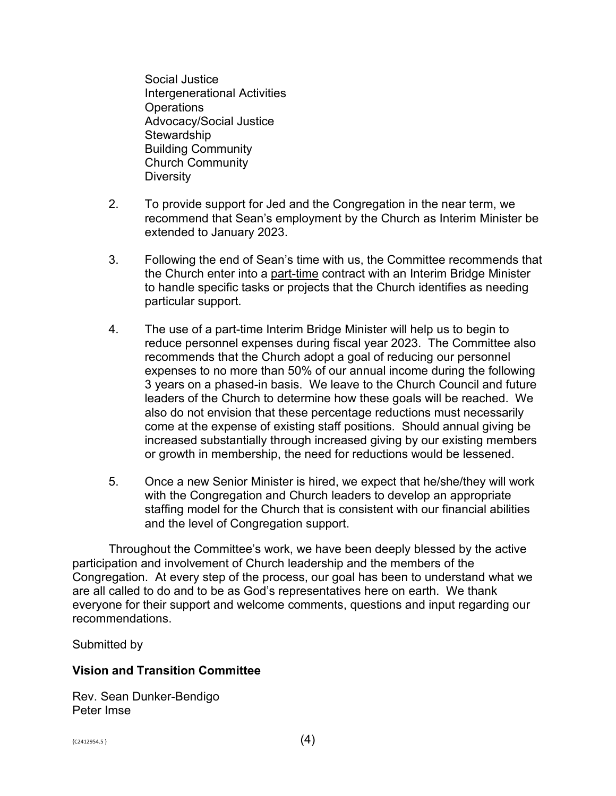Social Justice Intergenerational Activities **Operations** Advocacy/Social Justice **Stewardship** Building Community Church Community **Diversity** 

- 2. To provide support for Jed and the Congregation in the near term, we recommend that Sean's employment by the Church as Interim Minister be extended to January 2023.
- 3. Following the end of Sean's time with us, the Committee recommends that the Church enter into a part-time contract with an Interim Bridge Minister to handle specific tasks or projects that the Church identifies as needing particular support.
- 4. The use of a part-time Interim Bridge Minister will help us to begin to reduce personnel expenses during fiscal year 2023. The Committee also recommends that the Church adopt a goal of reducing our personnel expenses to no more than 50% of our annual income during the following 3 years on a phased-in basis. We leave to the Church Council and future leaders of the Church to determine how these goals will be reached. We also do not envision that these percentage reductions must necessarily come at the expense of existing staff positions. Should annual giving be increased substantially through increased giving by our existing members or growth in membership, the need for reductions would be lessened.
- 5. Once a new Senior Minister is hired, we expect that he/she/they will work with the Congregation and Church leaders to develop an appropriate staffing model for the Church that is consistent with our financial abilities and the level of Congregation support.

Throughout the Committee's work, we have been deeply blessed by the active participation and involvement of Church leadership and the members of the Congregation. At every step of the process, our goal has been to understand what we are all called to do and to be as God's representatives here on earth. We thank everyone for their support and welcome comments, questions and input regarding our recommendations.

Submitted by

# **Vision and Transition Committee**

Rev. Sean Dunker-Bendigo Peter Imse